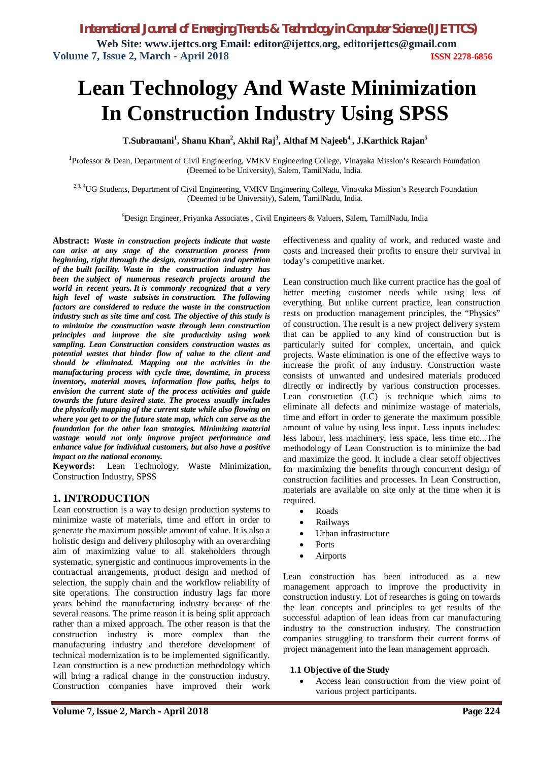# **Lean Technology And Waste Minimization In Construction Industry Using SPSS**

**T.Subramani<sup>1</sup> , Shanu Khan<sup>2</sup> , Akhil Raj<sup>3</sup> , Althaf M Najeeb<sup>4</sup> , J.Karthick Rajan<sup>5</sup>**

**1** Professor & Dean, Department of Civil Engineering, VMKV Engineering College, Vinayaka Mission's Research Foundation (Deemed to be University), Salem, TamilNadu, India.

<sup>2,3,,4</sup>UG Students, Department of Civil Engineering, VMKV Engineering College, Vinayaka Mission's Research Foundation (Deemed to be University), Salem, TamilNadu, India.

<sup>5</sup>Design Engineer, Priyanka Associates , Civil Engineers & Valuers, Salem, TamilNadu, India

**Abstract:** *Waste in construction projects indicate that waste can arise at any stage of the construction process from beginning, right through the design, construction and operation of the built facility. Waste in the construction industry has been the subject of numerous research projects around the world in recent years. It is commonly recognized that a very high level of waste subsists in construction. The following factors are considered to reduce the waste in the construction industry such as site time and cost. The objective of this study is to minimize the construction waste through lean construction principles and improve the site productivity using work sampling. Lean Construction considers construction wastes as potential wastes that hinder flow of value to the client and should be eliminated. Mapping out the activities in the manufacturing process with cycle time, downtime, in process inventory, material moves, information flow paths, helps to envision the current state of the process activities and guide towards the future desired state. The process usually includes the physically mapping of the current state while also flowing on where you get to or the future state map, which can serve as the foundation for the other lean strategies. Minimizing material wastage would not only improve project performance and enhance value for individual customers, but also have a positive impact on the national economy.*

**Keywords:** Lean Technology, Waste Minimization, Construction Industry, SPSS

### **1. INTRODUCTION**

Lean construction is a way to design production systems to minimize waste of materials, time and effort in order to generate the maximum possible amount of value. It is also a holistic design and delivery philosophy with an overarching aim of maximizing value to all stakeholders through systematic, synergistic and continuous improvements in the contractual arrangements, product design and method of selection, the supply chain and the workflow reliability of site operations. The construction industry lags far more years behind the manufacturing industry because of the several reasons. The prime reason it is being split approach rather than a mixed approach. The other reason is that the construction industry is more complex than the manufacturing industry and therefore development of technical modernization is to be implemented significantly. Lean construction is a new production methodology which will bring a radical change in the construction industry. Construction companies have improved their work

effectiveness and quality of work, and reduced waste and costs and increased their profits to ensure their survival in today's competitive market.

Lean construction much like current practice has the goal of better meeting customer needs while using less of everything. But unlike current practice, lean construction rests on production management principles, the "Physics" of construction. The result is a new project delivery system that can be applied to any kind of construction but is particularly suited for complex, uncertain, and quick projects. Waste elimination is one of the effective ways to increase the profit of any industry. Construction waste consists of unwanted and undesired materials produced directly or indirectly by various construction processes. Lean construction (LC) is technique which aims to eliminate all defects and minimize wastage of materials, time and effort in order to generate the maximum possible amount of value by using less input. Less inputs includes: less labour, less machinery, less space, less time etc...The methodology of Lean Construction is to minimize the bad and maximize the good. It include a clear setoff objectives for maximizing the benefits through concurrent design of construction facilities and processes. In Lean Construction, materials are available on site only at the time when it is required.

- Roads
- Railways
- Urban infrastructure
- Ports
- Airports

Lean construction has been introduced as a new management approach to improve the productivity in construction industry. Lot of researches is going on towards the lean concepts and principles to get results of the successful adaption of lean ideas from car manufacturing industry to the construction industry. The construction companies struggling to transform their current forms of project management into the lean management approach.

### **1.1 Objective of the Study**

 Access lean construction from the view point of various project participants.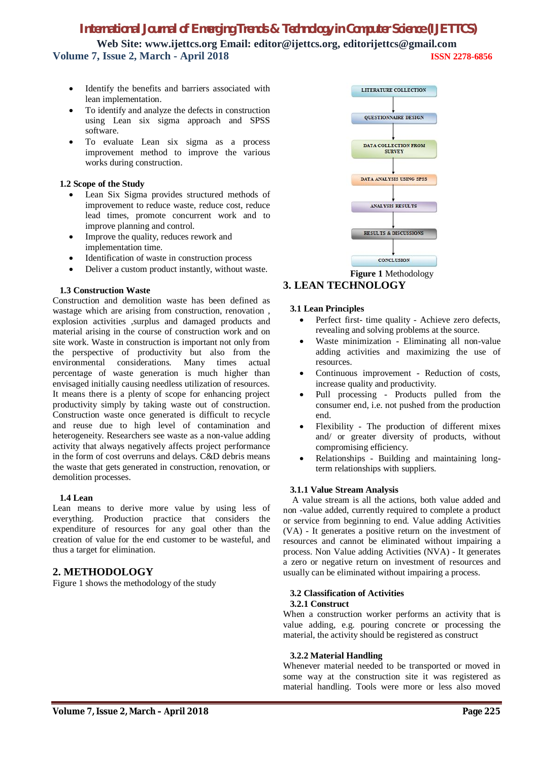# *International Journal of Emerging Trends & Technology in Computer Science (IJETTCS)*

**Web Site: www.ijettcs.org Email: editor@ijettcs.org, editorijettcs@gmail.com Volume 7, Issue 2, March - April 2018 ISSN 2278-6856**

- Identify the benefits and barriers associated with lean implementation.
- To identify and analyze the defects in construction using Lean six sigma approach and SPSS software.
- To evaluate Lean six sigma as a process improvement method to improve the various works during construction.

#### **1.2 Scope of the Study**

- Lean Six Sigma provides structured methods of improvement to reduce waste, reduce cost, reduce lead times, promote concurrent work and to improve planning and control.
- Improve the quality, reduces rework and implementation time.
- Identification of waste in construction process
- Deliver a custom product instantly, without waste.

#### **1.3 Construction Waste**

Construction and demolition waste has been defined as wastage which are arising from construction, renovation , explosion activities ,surplus and damaged products and material arising in the course of construction work and on site work. Waste in construction is important not only from the perspective of productivity but also from the environmental considerations. Many times actual percentage of waste generation is much higher than envisaged initially causing needless utilization of resources. It means there is a plenty of scope for enhancing project productivity simply by taking waste out of construction. Construction waste once generated is difficult to recycle and reuse due to high level of contamination and heterogeneity. Researchers see waste as a non-value adding activity that always negatively affects project performance in the form of cost overruns and delays. C&D debris means the waste that gets generated in construction, renovation, or demolition processes.

#### **1.4 Lean**

Lean means to derive more value by using less of everything. Production practice that considers the expenditure of resources for any goal other than the creation of value for the end customer to be wasteful, and thus a target for elimination.

### **2. METHODOLOGY**

Figure 1 shows the methodology of the study



# **3. LEAN TECHNOLOGY**

#### **3.1 Lean Principles**

- Perfect first- time quality Achieve zero defects, revealing and solving problems at the source.
- Waste minimization Eliminating all non-value adding activities and maximizing the use of resources.
- Continuous improvement Reduction of costs, increase quality and productivity.
- Pull processing Products pulled from the consumer end, i.e. not pushed from the production end.
- Flexibility The production of different mixes and/ or greater diversity of products, without compromising efficiency.
- Relationships Building and maintaining longterm relationships with suppliers.

#### **3.1.1 Value Stream Analysis**

A value stream is all the actions, both value added and non -value added, currently required to complete a product or service from beginning to end. Value adding Activities (VA) - It generates a positive return on the investment of resources and cannot be eliminated without impairing a process. Non Value adding Activities (NVA) - It generates a zero or negative return on investment of resources and usually can be eliminated without impairing a process.

### **3.2 Classification of Activities**

#### **3.2.1 Construct**

When a construction worker performs an activity that is value adding, e.g. pouring concrete or processing the material, the activity should be registered as construct

#### **3.2.2 Material Handling**

Whenever material needed to be transported or moved in some way at the construction site it was registered as material handling. Tools were more or less also moved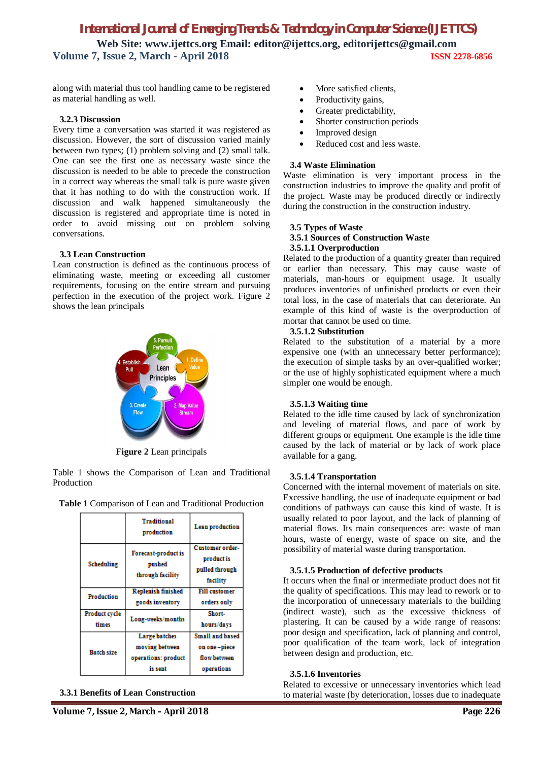along with material thus tool handling came to be registered as material handling as well.

#### **3.2.3 Discussion**

Every time a conversation was started it was registered as discussion. However, the sort of discussion varied mainly between two types; (1) problem solving and (2) small talk. One can see the first one as necessary waste since the discussion is needed to be able to precede the construction in a correct way whereas the small talk is pure waste given that it has nothing to do with the construction work. If discussion and walk happened simultaneously the discussion is registered and appropriate time is noted in order to avoid missing out on problem solving conversations.

#### **3.3 Lean Construction**

Lean construction is defined as the continuous process of eliminating waste, meeting or exceeding all customer requirements, focusing on the entire stream and pursuing perfection in the execution of the project work. Figure 2 shows the lean principals



**Figure 2** Lean principals

Table 1 shows the Comparison of Lean and Traditional Production

**Table 1** Comparison of Lean and Traditional Production

|                        | <b>Traditional</b><br>production                                         | Lean production                                               |
|------------------------|--------------------------------------------------------------------------|---------------------------------------------------------------|
| Scheduling             | Forecast-product is<br>pushed<br>through facility                        | Customer order-<br>product is<br>pulled through<br>facility   |
| Production             | <b>Replenish finished</b><br>goods inventory                             | <b>Fill customer</b><br>orders only                           |
| Product cycle<br>times | Long-weeks/months                                                        | Short-<br>hours/days                                          |
| <b>Batch size</b>      | <b>Large batches</b><br>moving between<br>operations: product<br>is sent | Small and based<br>on one-piece<br>flow between<br>operations |

- More satisfied clients.
- Productivity gains,
- Greater predictability,
- Shorter construction periods
- Improved design
- Reduced cost and less waste.

#### **3.4 Waste Elimination**

Waste elimination is very important process in the construction industries to improve the quality and profit of the project. Waste may be produced directly or indirectly during the construction in the construction industry.

#### **3.5 Types of Waste 3.5.1 Sources of Construction Waste 3.5.1.1 Overproduction**

Related to the production of a quantity greater than required or earlier than necessary. This may cause waste of materials, man-hours or equipment usage. It usually produces inventories of unfinished products or even their total loss, in the case of materials that can deteriorate. An example of this kind of waste is the overproduction of mortar that cannot be used on time.

### **3.5.1.2 Substitution**

Related to the substitution of a material by a more expensive one (with an unnecessary better performance); the execution of simple tasks by an over-qualified worker; or the use of highly sophisticated equipment where a much simpler one would be enough.

#### **3.5.1.3 Waiting time**

Related to the idle time caused by lack of synchronization and leveling of material flows, and pace of work by different groups or equipment. One example is the idle time caused by the lack of material or by lack of work place available for a gang.

#### **3.5.1.4 Transportation**

Concerned with the internal movement of materials on site. Excessive handling, the use of inadequate equipment or bad conditions of pathways can cause this kind of waste. It is usually related to poor layout, and the lack of planning of material flows. Its main consequences are: waste of man hours, waste of energy, waste of space on site, and the possibility of material waste during transportation.

#### **3.5.1.5 Production of defective products**

It occurs when the final or intermediate product does not fit the quality of specifications. This may lead to rework or to the incorporation of unnecessary materials to the building (indirect waste), such as the excessive thickness of plastering. It can be caused by a wide range of reasons: poor design and specification, lack of planning and control, poor qualification of the team work, lack of integration between design and production, etc.

#### **3.5.1.6 Inventories**

Related to excessive or unnecessary inventories which lead to material waste (by deterioration, losses due to inadequate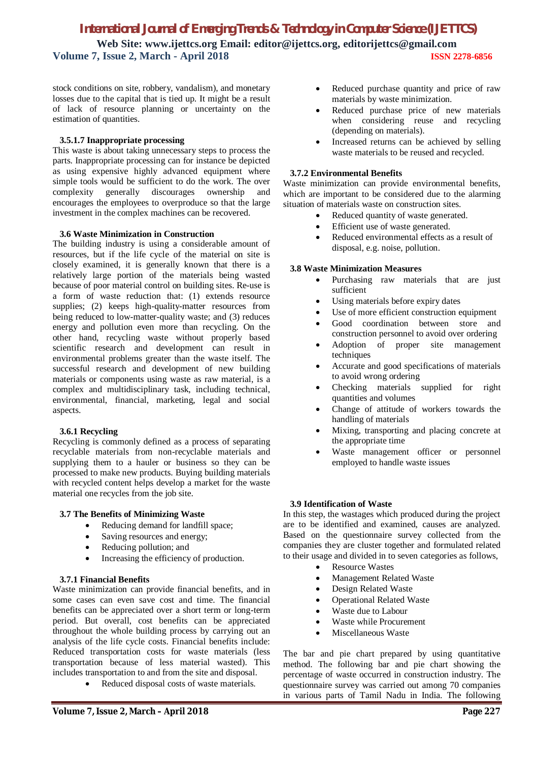stock conditions on site, robbery, vandalism), and monetary losses due to the capital that is tied up. It might be a result of lack of resource planning or uncertainty on the estimation of quantities.

#### **3.5.1.7 Inappropriate processing**

This waste is about taking unnecessary steps to process the parts. Inappropriate processing can for instance be depicted as using expensive highly advanced equipment where simple tools would be sufficient to do the work. The over complexity generally discourages ownership and encourages the employees to overproduce so that the large investment in the complex machines can be recovered.

#### **3.6 Waste Minimization in Construction**

The building industry is using a considerable amount of resources, but if the life cycle of the material on site is closely examined, it is generally known that there is a relatively large portion of the materials being wasted because of poor material control on building sites. Re-use is a form of waste reduction that: (1) extends resource supplies; (2) keeps high-quality-matter resources from being reduced to low-matter-quality waste; and (3) reduces energy and pollution even more than recycling. On the other hand, recycling waste without properly based scientific research and development can result in environmental problems greater than the waste itself. The successful research and development of new building materials or components using waste as raw material, is a complex and multidisciplinary task, including technical, environmental, financial, marketing, legal and social aspects.

#### **3.6.1 Recycling**

Recycling is commonly defined as a process of separating recyclable materials from non-recyclable materials and supplying them to a hauler or business so they can be processed to make new products. Buying building materials with recycled content helps develop a market for the waste material one recycles from the job site.

#### **3.7 The Benefits of Minimizing Waste**

- Reducing demand for landfill space;
- Saving resources and energy;
- Reducing pollution; and
- Increasing the efficiency of production.

#### **3.7.1 Financial Benefits**

Waste minimization can provide financial benefits, and in some cases can even save cost and time. The financial benefits can be appreciated over a short term or long-term period. But overall, cost benefits can be appreciated throughout the whole building process by carrying out an analysis of the life cycle costs. Financial benefits include: Reduced transportation costs for waste materials (less transportation because of less material wasted). This includes transportation to and from the site and disposal.

Reduced disposal costs of waste materials.

- Reduced purchase quantity and price of raw materials by waste minimization.
- Reduced purchase price of new materials when considering reuse and recycling (depending on materials).
- Increased returns can be achieved by selling waste materials to be reused and recycled.

#### **3.7.2 Environmental Benefits**

Waste minimization can provide environmental benefits, which are important to be considered due to the alarming situation of materials waste on construction sites.

- Reduced quantity of waste generated.
- Efficient use of waste generated.
- Reduced environmental effects as a result of disposal, e.g. noise, pollution.

#### **3.8 Waste Minimization Measures**

- Purchasing raw materials that are just sufficient
- Using materials before expiry dates
- Use of more efficient construction equipment
- Good coordination between store and construction personnel to avoid over ordering
- Adoption of proper site management techniques
- Accurate and good specifications of materials to avoid wrong ordering
- Checking materials supplied for right quantities and volumes
- Change of attitude of workers towards the handling of materials
- Mixing, transporting and placing concrete at the appropriate time
- Waste management officer or personnel employed to handle waste issues

#### **3.9 Identification of Waste**

In this step, the wastages which produced during the project are to be identified and examined, causes are analyzed. Based on the questionnaire survey collected from the companies they are cluster together and formulated related to their usage and divided in to seven categories as follows,

- Resource Wastes
- Management Related Waste
- Design Related Waste
- Operational Related Waste
- Waste due to Labour
- Waste while Procurement
- Miscellaneous Waste

The bar and pie chart prepared by using quantitative method. The following bar and pie chart showing the percentage of waste occurred in construction industry. The questionnaire survey was carried out among 70 companies in various parts of Tamil Nadu in India. The following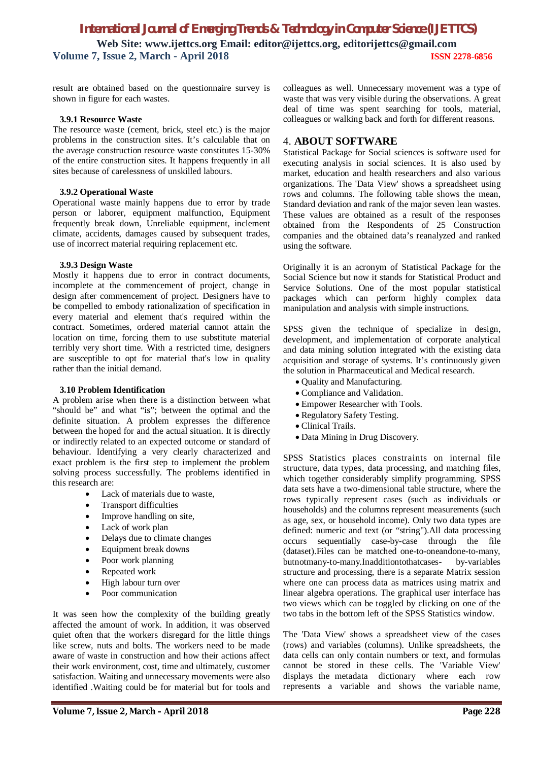result are obtained based on the questionnaire survey is shown in figure for each wastes.

#### **3.9.1 Resource Waste**

The resource waste (cement, brick, steel etc.) is the major problems in the construction sites. It's calculable that on the average construction resource waste constitutes 15-30% of the entire construction sites. It happens frequently in all sites because of carelessness of unskilled labours.

#### **3.9.2 Operational Waste**

Operational waste mainly happens due to error by trade person or laborer, equipment malfunction, Equipment frequently break down, Unreliable equipment, inclement climate, accidents, damages caused by subsequent trades, use of incorrect material requiring replacement etc.

#### **3.9.3 Design Waste**

Mostly it happens due to error in contract documents, incomplete at the commencement of project, change in design after commencement of project. Designers have to be compelled to embody rationalization of specification in every material and element that's required within the contract. Sometimes, ordered material cannot attain the location on time, forcing them to use substitute material terribly very short time. With a restricted time, designers are susceptible to opt for material that's low in quality rather than the initial demand.

#### **3.10 Problem Identification**

A problem arise when there is a distinction between what "should be" and what "is"; between the optimal and the definite situation. A problem expresses the difference between the hoped for and the actual situation. It is directly or indirectly related to an expected outcome or standard of behaviour. Identifying a very clearly characterized and exact problem is the first step to implement the problem solving process successfully. The problems identified in this research are:

- Lack of materials due to waste,
- Transport difficulties
- Improve handling on site,
- Lack of work plan
- Delays due to climate changes
- Equipment break downs
- Poor work planning
- Repeated work
- High labour turn over
- Poor communication

It was seen how the complexity of the building greatly affected the amount of work. In addition, it was observed quiet often that the workers disregard for the little things like screw, nuts and bolts. The workers need to be made aware of waste in construction and how their actions affect their work environment, cost, time and ultimately, customer satisfaction. Waiting and unnecessary movements were also identified .Waiting could be for material but for tools and colleagues as well. Unnecessary movement was a type of waste that was very visible during the observations. A great deal of time was spent searching for tools, material, colleagues or walking back and forth for different reasons.

#### 4. **ABOUT SOFTWARE**

Statistical Package for Social sciences is software used for executing analysis in social sciences. It is also used by market, education and health researchers and also various organizations. The 'Data View' shows a spreadsheet using rows and columns. The following table shows the mean, Standard deviation and rank of the major seven lean wastes. These values are obtained as a result of the responses obtained from the Respondents of 25 Construction companies and the obtained data's reanalyzed and ranked using the software.

Originally it is an acronym of Statistical Package for the Social Science but now it stands for Statistical Product and Service Solutions. One of the most popular statistical packages which can perform highly complex data manipulation and analysis with simple instructions.

SPSS given the technique of specialize in design, development, and implementation of corporate analytical and data mining solution integrated with the existing data acquisition and storage of systems. It's continuously given the solution in Pharmaceutical and Medical research.

- Ouality and Manufacturing.
- Compliance and Validation.
- Empower Researcher with Tools.
- Regulatory Safety Testing.
- Clinical Trails.
- Data Mining in Drug Discovery.

SPSS Statistics places constraints on internal file structure, data types, data processing, and matching files, which together considerably simplify programming. SPSS data sets have a two-dimensional table structure, where the rows typically represent cases (such as individuals or households) and the columns represent measurements (such as age, sex, or household income). Only two data types are defined: numeric and text (or "string").All data processing occurs sequentially case-by-case through the file (dataset).Files can be matched one-to-oneandone-to-many, butnotmany-to-many.Inadditiontothatcases- by-variables structure and processing, there is a separate Matrix session where one can process data as matrices using matrix and linear algebra operations. The graphical user interface has two views which can be toggled by clicking on one of the two tabs in the bottom left of the SPSS Statistics window.

The 'Data View' shows a spreadsheet view of the cases (rows) and variables (columns). Unlike spreadsheets, the data cells can only contain numbers or text, and formulas cannot be stored in these cells. The 'Variable View' displays the metadata dictionary where each row represents a variable and shows the variable name,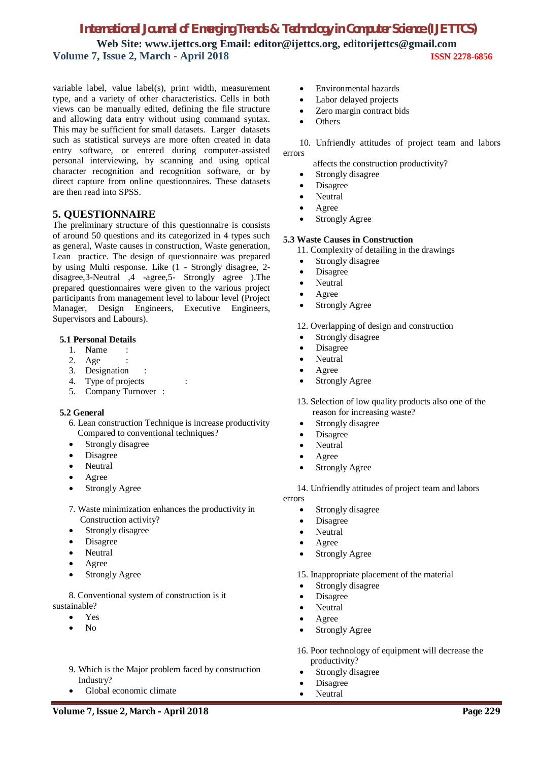variable label, value label(s), print width, measurement type, and a variety of other characteristics. Cells in both views can be manually edited, defining the file structure and allowing data entry without using command syntax. This may be sufficient for small datasets. Larger datasets such as statistical surveys are more often created in data entry software, or entered during computer-assisted personal interviewing, by scanning and using optical character recognition and recognition software, or by direct capture from online questionnaires. These datasets are then read into SPSS.

### **5. QUESTIONNAIRE**

The preliminary structure of this questionnaire is consists of around 50 questions and its categorized in 4 types such as general, Waste causes in construction, Waste generation, Lean practice. The design of questionnaire was prepared by using Multi response. Like (1 - Strongly disagree, 2 disagree,3-Neutral ,4 -agree,5- Strongly agree ).The prepared questionnaires were given to the various project participants from management level to labour level (Project Manager, Design Engineers, Executive Engineers, Supervisors and Labours).

#### **5.1 Personal Details**

- 1. Name :
- 2. Age
- 3. Designation :
- 4. Type of projects :
- 5. Company Turnover :

### **5.2 General**

- 6. Lean construction Technique is increase productivity Compared to conventional techniques?
- Strongly disagree
- Disagree
- Neutral
- Agree
- Strongly Agree
- 7. Waste minimization enhances the productivity in Construction activity?
- Strongly disagree
- Disagree
- Neutral
- Agree
- Strongly Agree

 8. Conventional system of construction is it sustainable?

- Yes
- No
- 9. Which is the Major problem faced by construction Industry?
- Global economic climate
- Environmental hazards
- Labor delayed projects
- Zero margin contract bids
- **Others**

10. Unfriendly attitudes of project team and labors errors

affects the construction productivity?

- Strongly disagree
- Disagree
- Neutral
- Agree
- Strongly Agree

#### **5.3 Waste Causes in Construction**

- 11. Complexity of detailing in the drawings
- Strongly disagree
- Disagree
- Neutral
- Agree
- Strongly Agree

12. Overlapping of design and construction

- Strongly disagree
- Disagree
- Neutral
- Agree
- Strongly Agree
- 13. Selection of low quality products also one of the reason for increasing waste?
	- Strongly disagree
- Disagree
- Neutral
- Agree
- Strongly Agree

 14. Unfriendly attitudes of project team and labors errors

- Strongly disagree
- Disagree
- Neutral
- Agree
- Strongly Agree

15. Inappropriate placement of the material

- Strongly disagree
- Disagree
- Neutral
- Agree
- Strongly Agree
- 16. Poor technology of equipment will decrease the productivity?
- Strongly disagree
- Disagree
- Neutral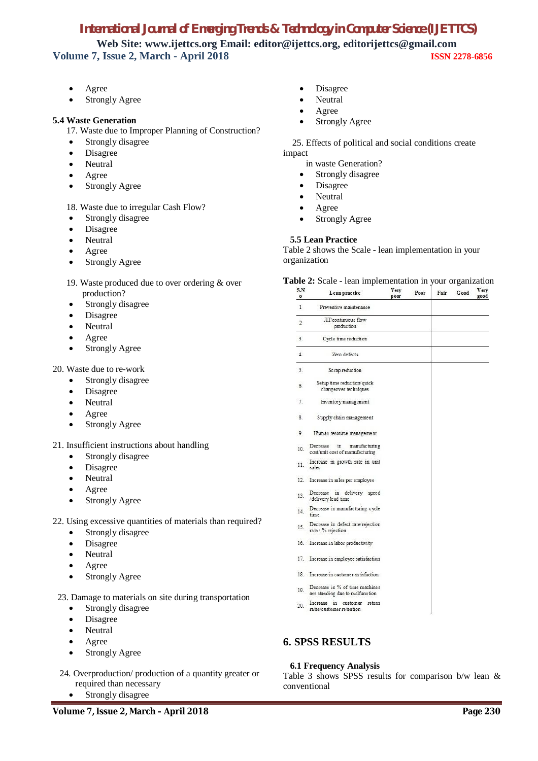# *International Journal of Emerging Trends & Technology in Computer Science (IJETTCS)*

**Web Site: www.ijettcs.org Email: editor@ijettcs.org, editorijettcs@gmail.com Volume 7, Issue 2, March - April 2018 ISSN 2278-6856**

- Agree
- Strongly Agree

#### **5.4 Waste Generation**

17. Waste due to Improper Planning of Construction?

- Strongly disagree
- Disagree
- Neutral
- Agree
- Strongly Agree

18. Waste due to irregular Cash Flow?

- Strongly disagree
- Disagree
- Neutral
- Agree
- Strongly Agree

#### 19. Waste produced due to over ordering & over production?

- Strongly disagree
- Disagree
- Neutral
- Agree
- Strongly Agree
- 20. Waste due to re-work
	- Strongly disagree
	- Disagree
	- Neutral
	- Agree
	- Strongly Agree
- 21. Insufficient instructions about handling
	- Strongly disagree
	- Disagree
	- Neutral
	- Agree
	- Strongly Agree
- 22. Using excessive quantities of materials than required?
	- Strongly disagree
	- Disagree
	- Neutral
	- Agree
	- Strongly Agree
- 23. Damage to materials on site during transportation
	- Strongly disagree
	- Disagree
	- Neutral
	- Agree
	- Strongly Agree
- 24. Overproduction/ production of a quantity greater or required than necessary
	- Strongly disagree
- Disagree
- Neutral
- Agree
- Strongly Agree

 25. Effects of political and social conditions create impact

in waste Generation?

- Strongly disagree
- Disagree
- Neutral
- Agree
- Strongly Agree

#### **5.5 Lean Practice**

Table 2 shows the Scale - lean implementation in your organization

**Table 2:** Scale - lean implementation in your organization

| S.N<br>$\mathbf{o}$ | Lean practice                                                      | Very<br>poor | Poor | Fair | Good | <b>V</b> ery<br>good |
|---------------------|--------------------------------------------------------------------|--------------|------|------|------|----------------------|
| 1                   | Preventive maintenance                                             |              |      |      |      |                      |
| $\overline{2}$      | JIT/continuous flow<br>production                                  |              |      |      |      |                      |
| 3.                  | Cycle time reduction                                               |              |      |      |      |                      |
| 4.                  | Zero defects                                                       |              |      |      |      |                      |
| 5.                  | Scrap reduction                                                    |              |      |      |      |                      |
| 6.                  | Setup time reduction/quick<br>changeover techniques                |              |      |      |      |                      |
| 7.                  | Inventory management                                               |              |      |      |      |                      |
| S.                  | Supply chain management                                            |              |      |      |      |                      |
| 9.                  | Human resource management                                          |              |      |      |      |                      |
| 10.                 | Decrease<br>in<br>manufacturing<br>cost/unit cost of manufacturing |              |      |      |      |                      |
| 11.                 | Increase in growth rate in unit<br>sales                           |              |      |      |      |                      |
|                     | 12. Increase in sales per employee                                 |              |      |      |      |                      |
| 13.                 | Decrease in delivery speed<br>/delivery lead time                  |              |      |      |      |                      |
| 14.                 | Decrease in manufacturing cycle<br>time                            |              |      |      |      |                      |
| 15.                 | Decrease in defect rate/rejection<br>rate / % rejection            |              |      |      |      |                      |
|                     | 16. Increase in labor productivity                                 |              |      |      |      |                      |
| 17.                 | Increase in employee satisfaction                                  |              |      |      |      |                      |
|                     | 18. Increase in customer satisfaction                              |              |      |      |      |                      |

- Decrease in % of time machines  $19.$ are standing due to malfunction
- 20. Increase in customer return<br>rates/customer retention

### **6. SPSS RESULTS**

#### **6.1 Frequency Analysis**

Table 3 shows SPSS results for comparison b/w lean & conventional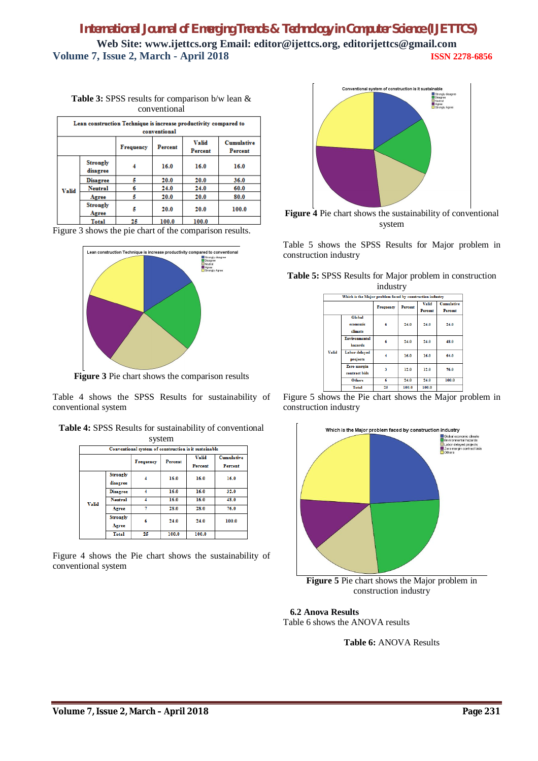**Table 3:** SPSS results for comparison b/w lean & conventional

| Lean construction Technique is increase productivity compared to<br>conventional |                             |                  |         |                         |                              |  |
|----------------------------------------------------------------------------------|-----------------------------|------------------|---------|-------------------------|------------------------------|--|
|                                                                                  |                             | <b>Frequency</b> | Percent | <b>Valid</b><br>Percent | <b>Cumulative</b><br>Percent |  |
|                                                                                  | <b>Strongly</b><br>disagree |                  | 16.0    | 16.0                    | 16.0                         |  |
|                                                                                  | <b>Disagree</b>             |                  | 20.0    | 20.0                    | 36.0                         |  |
| <b>Valid</b>                                                                     | Neutral                     |                  | 24.0    | 24.0                    | 60.0                         |  |
|                                                                                  | Agree                       | 5                | 20.0    | 20.0                    | 80.0                         |  |
|                                                                                  | <b>Strongly</b><br>Agree    | 5                | 20.0    | 20.0                    | 100.0                        |  |
|                                                                                  | Total                       | 25               | 100.0   | 100.0                   |                              |  |

Figure 3 shows the pie chart of the comparison results.



**Figure 3** Pie chart shows the comparison results

Table 4 shows the SPSS Results for sustainability of conventional system

|  |  |  | Table 4: SPSS Results for sustainability of conventional |
|--|--|--|----------------------------------------------------------|
|--|--|--|----------------------------------------------------------|

| system                                                                                 |                                                       |    |       |       |       |  |  |  |
|----------------------------------------------------------------------------------------|-------------------------------------------------------|----|-------|-------|-------|--|--|--|
|                                                                                        | Conventional system of construction is it sustainable |    |       |       |       |  |  |  |
| <b>Valid</b><br><b>Cumulative</b><br>Percent<br><b>Frequency</b><br>Percent<br>Percent |                                                       |    |       |       |       |  |  |  |
|                                                                                        | <b>Strongly</b><br>disagree                           |    | 16.0  | 16.0  | 16.0  |  |  |  |
|                                                                                        | <b>Disagree</b>                                       | 4  | 16.0  | 16.0  | 32.0  |  |  |  |
| <b>Valid</b>                                                                           | Neutral                                               |    | 16.0  | 16.0  | 48.0  |  |  |  |
|                                                                                        | Agree                                                 | 7  | 28.0  | 28.0  | 76.0  |  |  |  |
|                                                                                        | <b>Strongly</b><br>Agree                              | 6  | 24.0  | 24.0  | 100.0 |  |  |  |
|                                                                                        | Total                                                 | 25 | 100.0 | 100.0 |       |  |  |  |

Figure 4 shows the Pie chart shows the sustainability of conventional system



**Figure 4** Pie chart shows the sustainability of conventional system

Table 5 shows the SPSS Results for Major problem in construction industry

|              |                                                           | muustry |       |                         |                              |
|--------------|-----------------------------------------------------------|---------|-------|-------------------------|------------------------------|
|              | Which is the Major problem faced by construction industry |         |       |                         |                              |
|              | Percent<br><b>Frequency</b>                               |         |       | <b>Valid</b><br>Percent | <b>Cumulative</b><br>Percent |
| <b>Valid</b> | <b>Global</b><br>economic<br>climate                      | 6       | 24.0  | 24.0                    | 24.0                         |
|              | Environmental<br>hazards                                  | 6       | 24.0  | 24.0                    | 48.0                         |
|              | Labor delayed<br>projects                                 |         | 16.0  | 16.0                    | 64.0                         |
|              | Zero margin<br>contract bids                              | 3       | 12.0  | 12.0                    | 76.0                         |
|              | <b>Others</b>                                             | 6       | 24.0  | 24.0                    | 100.0                        |
|              | Total                                                     | 25      | 100.0 | 100.0                   |                              |

|  |  |          |  | <b>Table 5:</b> SPSS Results for Major problem in construction |
|--|--|----------|--|----------------------------------------------------------------|
|  |  | industry |  |                                                                |

| Figure 5 shows the Pie chart shows the Major problem in |  |  |  |
|---------------------------------------------------------|--|--|--|
| construction industry                                   |  |  |  |



 **6.2 Anova Results**

Table 6 shows the ANOVA results

**Table 6:** ANOVA Results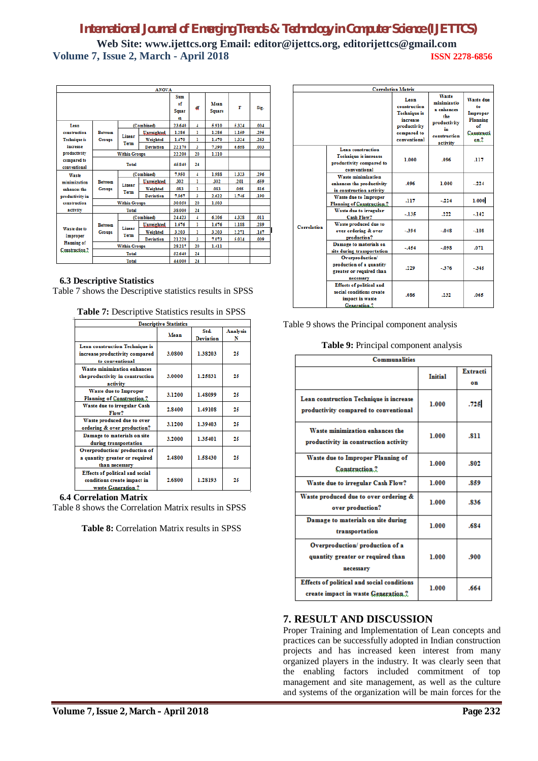|                                                |                                 | <b>ANOVA</b>         |                   |                          |                         |                       |       |      |
|------------------------------------------------|---------------------------------|----------------------|-------------------|--------------------------|-------------------------|-----------------------|-------|------|
|                                                |                                 |                      |                   | Sum<br>of<br>Squar<br>es | df                      | Mean<br><b>Square</b> | F     | Sig. |
| Lean                                           |                                 |                      | (Combined)        | 23.640                   | 4                       | 5.910                 | 5.324 | .004 |
| construction                                   | <b>Retween</b>                  | Linear               | <b>Unweighted</b> | 1.286                    | ı                       | 1.286                 | 1.159 | 295  |
| <b>Technique is</b>                            | <b>Groups</b>                   | Term                 | Weighted          | 1,470                    | ı                       | 1.470                 | 1.324 | 263  |
| increase                                       |                                 |                      | <b>Deviation</b>  | 22.170                   | $\overline{\mathbf{3}}$ | 7,390                 | 6.658 | .003 |
| productivity                                   |                                 | <b>Within Groups</b> |                   | 22,200                   | 20                      | 1,110                 |       |      |
| compared to<br>conventional                    | Total                           |                      |                   | 45 840                   | 24                      |                       |       |      |
| Waste                                          |                                 |                      | (Combined)        | 7.950                    | 4                       | 1.988                 | 1.323 | 296  |
| minimization                                   | <b>Retween</b><br><b>Groups</b> | Linear<br>Term       | Unweighted.       | 302                      | ı                       | 302                   | 201   | .659 |
| enhances the                                   |                                 |                      | Weighted          | .083                     | ı                       | .083                  | .055  | 816  |
| productivity in                                |                                 |                      | <b>Deviation</b>  | 7.867                    | 3                       | 2.622                 | 1.745 | 190  |
| construction                                   | <b>Within Groups</b>            |                      |                   | 30.050                   | 20                      | 1,503                 |       |      |
| activity                                       |                                 | Total                |                   | 38.000                   | 24                      |                       |       |      |
|                                                |                                 |                      | (Combined)        | 24.423                   | 4                       | 6.106                 | 4.328 | .011 |
|                                                | <b>Between</b>                  | Linear               | Unweighted.       | 1.676                    | ı                       | 1.676                 | 1.188 | 289  |
| Waste due to<br>Improper<br><b>Planning of</b> | Groups                          |                      | Weighted          | 3.203                    | ı                       | 3.203                 | 2.271 | 147  |
|                                                |                                 | Term                 | <b>Deviation</b>  | 21.220                   | 3                       | 7.073                 | 5.014 | .009 |
|                                                |                                 | <b>Within Groups</b> |                   | 28.217                   | 20                      | 1.411                 |       |      |
| Construction ?                                 |                                 | <b>Total</b>         |                   | 52.640                   | 24                      |                       |       |      |
|                                                | <b>Total</b>                    |                      |                   | 44.000                   | 24                      |                       |       |      |

#### **6.3 Descriptive Statistics**

Table 7 shows the Descriptive statistics results in SPSS

**Table 7:** Descriptive Statistics results in SPSS

|                                                                                                | <b>Descriptive Statistics</b> |                          |                      |
|------------------------------------------------------------------------------------------------|-------------------------------|--------------------------|----------------------|
|                                                                                                | Mean                          | Std.<br><b>Deviation</b> | <b>Analysis</b><br>N |
| <b>Lean construction Technique is</b><br>increase productivity compared<br>to conventional     | 3.0800                        | 1.38203                  | 25                   |
| Waste minimization enhances<br>the productivity in construction<br>activity                    | 3.0000                        | 1.25831                  | 25                   |
| Waste due to Improper<br>Planning of Construction.?                                            | 3.1200                        | 1.48099                  | 25                   |
| Waste due to irregular Cash<br>Flow?                                                           | 2.8400                        | 1.49108                  | 25                   |
| Waste produced due to over<br>ordering & over production?                                      | 3.1200                        | 1.39403                  | 25                   |
| Damage to materials on site<br>during transportation                                           | 3.2000                        | 1.35401                  | 25                   |
| Overproduction/production of<br>a quantity greater or required<br>than necessary               | 2.4800                        | 1.58430                  | 25                   |
| <b>Effects of political and social</b><br>conditions create impact in<br>and the Company House | 2.6800                        | 1.28193                  | 25                   |

#### **6.4 Correlation Matrix**

Table 8 shows the Correlation Matrix results in SPSS

**Table 8:** Correlation Matrix results in SPSS

|                    | <b>Correlation Matrix</b>                                                                              |                                                                                                        |                                                                                             |                                                                                   |  |  |
|--------------------|--------------------------------------------------------------------------------------------------------|--------------------------------------------------------------------------------------------------------|---------------------------------------------------------------------------------------------|-----------------------------------------------------------------------------------|--|--|
|                    |                                                                                                        | Lean<br>construction<br><b>Technique</b> is<br>increase<br>productivity<br>compared to<br>conventional | Waste<br>minimizatio<br>n enhances<br>the<br>productivity<br>in<br>construction<br>activity | <b>Waste due</b><br>۴n<br>Improper<br><b>Planning</b><br>of<br>Constructi<br>on.2 |  |  |
|                    | Lean construction<br><b>Technique is increase</b><br>productivity compared to<br>conventional          | 1.000                                                                                                  | .096                                                                                        | .117                                                                              |  |  |
|                    | Waste minimization<br>enhances the productivity<br>in construction activity                            | .096                                                                                                   | 1.000                                                                                       | $-224$                                                                            |  |  |
|                    | <b>Waste due to Improper</b><br><b>Planning of Construction.?</b>                                      | .117                                                                                                   | $-224$                                                                                      | 1.000                                                                             |  |  |
|                    | Waste due to irregular<br><b>Cash Flow?</b>                                                            | $-135$                                                                                                 | .222                                                                                        | $-142$                                                                            |  |  |
| <b>Correlation</b> | Waste produced due to<br>over ordering & over<br>production?                                           | $-394$                                                                                                 | $-.048$                                                                                     | $-.108$                                                                           |  |  |
|                    | Damage to materials on<br>site during transportation                                                   | $-454$                                                                                                 | $-.098$                                                                                     | .071                                                                              |  |  |
|                    | Overproduction/<br>production of a quantity<br>greater or required than<br>necessary                   | .229                                                                                                   | $-376$                                                                                      | $-345$                                                                            |  |  |
|                    | <b>Effects of political and</b><br>social conditions create<br>impact in waste<br><b>Generation.</b> ? | .086                                                                                                   | .232                                                                                        | .065                                                                              |  |  |

Table 9 shows the Principal component analysis

**Table 9:** Principal component analysis

| <b>Communalities</b>                                                                     |                |                |
|------------------------------------------------------------------------------------------|----------------|----------------|
|                                                                                          | <b>Initial</b> | Extracti<br>on |
| Lean construction Technique is increase<br>productivity compared to conventional         | 1.000          | .725           |
| Waste minimization enhances the<br>productivity in construction activity                 | 1.000          | .811           |
| Waste due to Improper Planning of<br>Construction.?                                      | 1.000          | .802           |
| Waste due to irregular Cash Flow?                                                        | 1.000          | .859           |
| Waste produced due to over ordering &<br>over production?                                | 1.000          | .836           |
| Damage to materials on site during<br>transportation                                     | 1.000          | .684           |
| Overproduction/production of a<br>quantity greater or required than<br>necessary         | 1.000          | .900           |
| <b>Effects of political and social conditions</b><br>create impact in waste Generation.? | 1.000          | .664           |

## **7. RESULT AND DISCUSSION**

Proper Training and Implementation of Lean concepts and practices can be successfully adopted in Indian construction projects and has increased keen interest from many organized players in the industry. It was clearly seen that the enabling factors included commitment of top management and site management, as well as the culture and systems of the organization will be main forces for the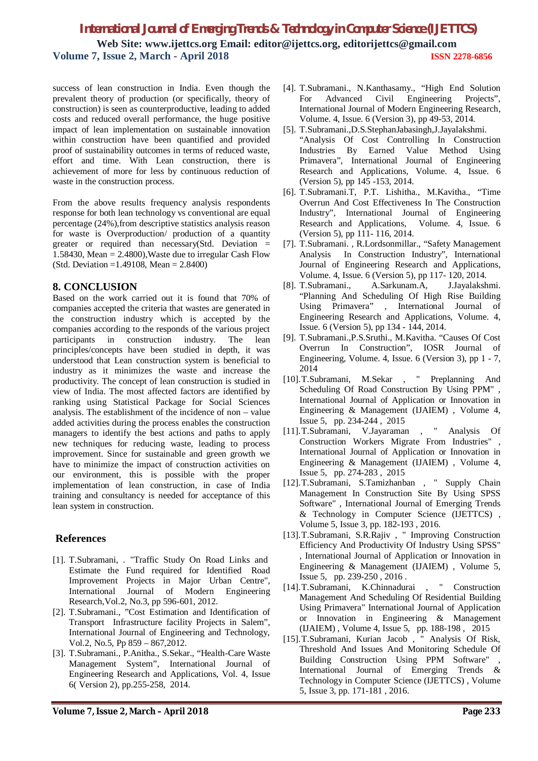success of lean construction in India. Even though the prevalent theory of production (or specifically, theory of construction) is seen as counterproductive, leading to added costs and reduced overall performance, the huge positive impact of lean implementation on sustainable innovation within construction have been quantified and provided proof of sustainability outcomes in terms of reduced waste, effort and time. With Lean construction, there is achievement of more for less by continuous reduction of waste in the construction process.

From the above results frequency analysis respondents response for both lean technology vs conventional are equal percentage (24%),from descriptive statistics analysis reason for waste is Overproduction/ production of a quantity greater or required than necessary(Std. Deviation  $=$ 1.58430, Mean  $= 2.4800$ ), Waste due to irregular Cash Flow (Std. Deviation =1.49108, Mean = 2.8400)

### **8. CONCLUSION**

Based on the work carried out it is found that 70% of companies accepted the criteria that wastes are generated in the construction industry which is accepted by the companies according to the responds of the various project participants in construction industry. The lean principles/concepts have been studied in depth, it was understood that Lean construction system is beneficial to industry as it minimizes the waste and increase the productivity. The concept of lean construction is studied in view of India. The most affected factors are identified by ranking using Statistical Package for Social Sciences analysis. The establishment of the incidence of non – value added activities during the process enables the construction managers to identify the best actions and paths to apply new techniques for reducing waste, leading to process improvement. Since for sustainable and green growth we have to minimize the impact of construction activities on our environment, this is possible with the proper implementation of lean construction, in case of India training and consultancy is needed for acceptance of this lean system in construction.

## **References**

- [1]. T.Subramani, . "Traffic Study On Road Links and Estimate the Fund required for Identified Road Improvement Projects in Major Urban Centre", International Journal of Modern Engineering Research,Vol.2, No.3, pp 596-601, 2012.
- [2]. T.Subramani., "Cost Estimation and Identification of Transport Infrastructure facility Projects in Salem", International Journal of Engineering and Technology, Vol.2, No.5, Pp 859 – 867,2012.
- [3]. T.Subramani., P.Anitha., S.Sekar., "Health-Care Waste Management System", International Journal of Engineering Research and Applications, Vol. 4, Issue 6( Version 2), pp.255-258, 2014.
- [4]. T.Subramani., N.Kanthasamy., "High End Solution For Advanced Civil Engineering Projects", International Journal of Modern Engineering Research, Volume. 4, Issue. 6 (Version 3), pp 49-53, 2014.
- [5]. T.Subramani.,D.S.StephanJabasingh,J.Jayalakshmi. "Analysis Of Cost Controlling In Construction Industries By Earned Value Method Using Primavera", International Journal of Engineering Research and Applications, Volume. 4, Issue. 6 (Version 5), pp 145 -153, 2014.
- [6]. T.Subramani.T, P.T. Lishitha., M.Kavitha., "Time Overrun And Cost Effectiveness In The Construction Industry", International Journal of Engineering Research and Applications, Volume. 4, Issue. 6 (Version 5), pp 111- 116, 2014.
- [7]. T.Subramani. , R.Lordsonmillar., "Safety Management Analysis In Construction Industry", International Journal of Engineering Research and Applications, Volume. 4, Issue. 6 (Version 5), pp 117- 120, 2014.
- [8]. T.Subramani., A.Sarkunam.A, J.Jayalakshmi. "Planning And Scheduling Of High Rise Building Using Primavera" , International Journal of Engineering Research and Applications, Volume. 4, Issue. 6 (Version 5), pp 134 - 144, 2014.
- [9]. T.Subramani.,P.S.Sruthi., M.Kavitha. "Causes Of Cost Overrun In Construction", IOSR Journal of Engineering, Volume. 4, Issue. 6 (Version 3), pp 1 - 7, 2014
- [10].T.Subramani, M.Sekar , " Preplanning And Scheduling Of Road Construction By Using PPM" , International Journal of Application or Innovation in Engineering & Management (IJAIEM) , Volume 4, Issue 5, pp. 234-244 , 2015
- [11].T.Subramani, V.Jayaraman , " Analysis Of Construction Workers Migrate From Industries" , International Journal of Application or Innovation in Engineering & Management (IJAIEM) , Volume 4, Issue 5, pp. 274-283 , 2015
- [12].T.Subramani, S.Tamizhanban , " Supply Chain Management In Construction Site By Using SPSS Software" , International Journal of Emerging Trends & Technology in Computer Science (IJETTCS) , Volume 5, Issue 3, pp. 182-193 , 2016.
- [13].T.Subramani, S.R.Rajiv , " Improving Construction Efficiency And Productivity Of Industry Using SPSS" , International Journal of Application or Innovation in Engineering & Management (IJAIEM) , Volume 5, Issue 5, pp. 239-250 , 2016 .
- [14].T.Subramani, K.Chinnadurai , " Construction Management And Scheduling Of Residential Building Using Primavera" International Journal of Application or Innovation in Engineering & Management (IJAIEM) , Volume 4, Issue 5, pp. 188-198 , 2015
- [15].T.Subramani, Kurian Jacob , " Analysis Of Risk, Threshold And Issues And Monitoring Schedule Of Building Construction Using PPM Software" International Journal of Emerging Trends & Technology in Computer Science (IJETTCS) , Volume 5, Issue 3, pp. 171-181 , 2016.